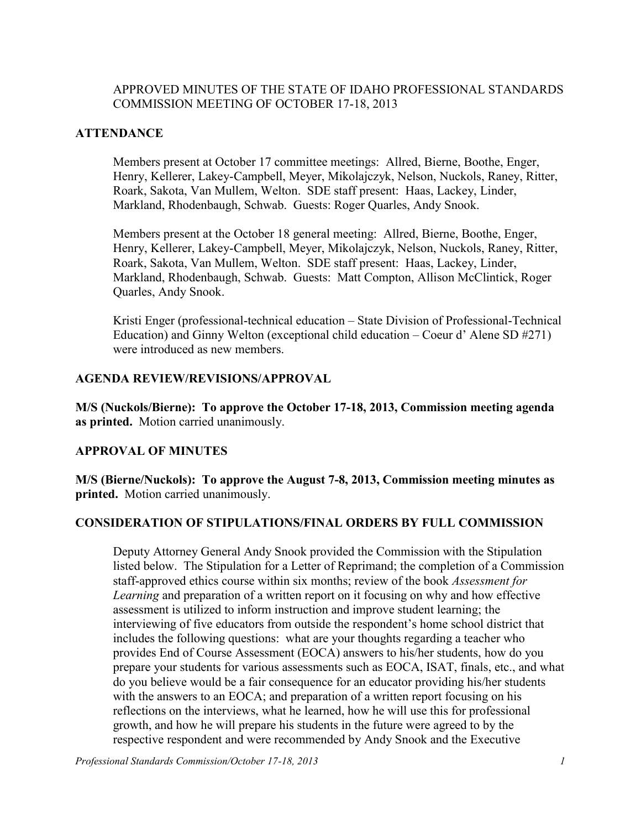# APPROVED MINUTES OF THE STATE OF IDAHO PROFESSIONAL STANDARDS COMMISSION MEETING OF OCTOBER 17-18, 2013

# **ATTENDANCE**

Members present at October 17 committee meetings: Allred, Bierne, Boothe, Enger, Henry, Kellerer, Lakey-Campbell, Meyer, Mikolajczyk, Nelson, Nuckols, Raney, Ritter, Roark, Sakota, Van Mullem, Welton. SDE staff present: Haas, Lackey, Linder, Markland, Rhodenbaugh, Schwab. Guests: Roger Quarles, Andy Snook.

Members present at the October 18 general meeting: Allred, Bierne, Boothe, Enger, Henry, Kellerer, Lakey-Campbell, Meyer, Mikolajczyk, Nelson, Nuckols, Raney, Ritter, Roark, Sakota, Van Mullem, Welton. SDE staff present: Haas, Lackey, Linder, Markland, Rhodenbaugh, Schwab. Guests: Matt Compton, Allison McClintick, Roger Quarles, Andy Snook.

Kristi Enger (professional-technical education – State Division of Professional-Technical Education) and Ginny Welton (exceptional child education – Coeur d' Alene SD #271) were introduced as new members.

#### **AGENDA REVIEW/REVISIONS/APPROVAL**

**M/S (Nuckols/Bierne): To approve the October 17-18, 2013, Commission meeting agenda as printed.** Motion carried unanimously.

## **APPROVAL OF MINUTES**

**M/S (Bierne/Nuckols): To approve the August 7-8, 2013, Commission meeting minutes as printed.** Motion carried unanimously.

## **CONSIDERATION OF STIPULATIONS/FINAL ORDERS BY FULL COMMISSION**

Deputy Attorney General Andy Snook provided the Commission with the Stipulation listed below. The Stipulation for a Letter of Reprimand; the completion of a Commission staff-approved ethics course within six months; review of the book *Assessment for Learning* and preparation of a written report on it focusing on why and how effective assessment is utilized to inform instruction and improve student learning; the interviewing of five educators from outside the respondent's home school district that includes the following questions: what are your thoughts regarding a teacher who provides End of Course Assessment (EOCA) answers to his/her students, how do you prepare your students for various assessments such as EOCA, ISAT, finals, etc., and what do you believe would be a fair consequence for an educator providing his/her students with the answers to an EOCA; and preparation of a written report focusing on his reflections on the interviews, what he learned, how he will use this for professional growth, and how he will prepare his students in the future were agreed to by the respective respondent and were recommended by Andy Snook and the Executive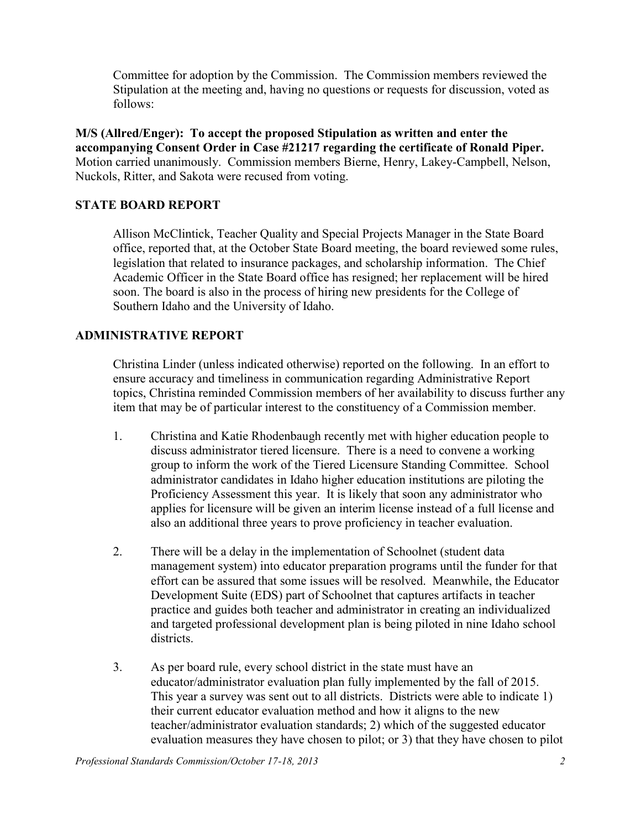Committee for adoption by the Commission. The Commission members reviewed the Stipulation at the meeting and, having no questions or requests for discussion, voted as follows:

**M/S (Allred/Enger): To accept the proposed Stipulation as written and enter the accompanying Consent Order in Case #21217 regarding the certificate of Ronald Piper.**  Motion carried unanimously. Commission members Bierne, Henry, Lakey-Campbell, Nelson, Nuckols, Ritter, and Sakota were recused from voting.

## **STATE BOARD REPORT**

Allison McClintick, Teacher Quality and Special Projects Manager in the State Board office, reported that, at the October State Board meeting, the board reviewed some rules, legislation that related to insurance packages, and scholarship information. The Chief Academic Officer in the State Board office has resigned; her replacement will be hired soon. The board is also in the process of hiring new presidents for the College of Southern Idaho and the University of Idaho.

#### **ADMINISTRATIVE REPORT**

Christina Linder (unless indicated otherwise) reported on the following. In an effort to ensure accuracy and timeliness in communication regarding Administrative Report topics, Christina reminded Commission members of her availability to discuss further any item that may be of particular interest to the constituency of a Commission member.

- 1. Christina and Katie Rhodenbaugh recently met with higher education people to discuss administrator tiered licensure. There is a need to convene a working group to inform the work of the Tiered Licensure Standing Committee. School administrator candidates in Idaho higher education institutions are piloting the Proficiency Assessment this year. It is likely that soon any administrator who applies for licensure will be given an interim license instead of a full license and also an additional three years to prove proficiency in teacher evaluation.
- 2. There will be a delay in the implementation of Schoolnet (student data management system) into educator preparation programs until the funder for that effort can be assured that some issues will be resolved. Meanwhile, the Educator Development Suite (EDS) part of Schoolnet that captures artifacts in teacher practice and guides both teacher and administrator in creating an individualized and targeted professional development plan is being piloted in nine Idaho school districts.
- 3. As per board rule, every school district in the state must have an educator/administrator evaluation plan fully implemented by the fall of 2015. This year a survey was sent out to all districts. Districts were able to indicate 1) their current educator evaluation method and how it aligns to the new teacher/administrator evaluation standards; 2) which of the suggested educator evaluation measures they have chosen to pilot; or 3) that they have chosen to pilot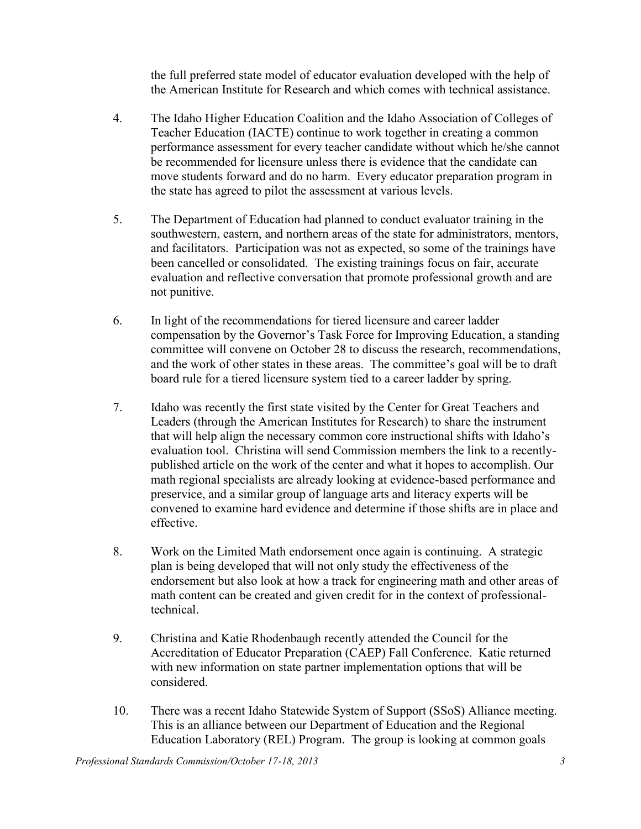the full preferred state model of educator evaluation developed with the help of the American Institute for Research and which comes with technical assistance.

- 4. The Idaho Higher Education Coalition and the Idaho Association of Colleges of Teacher Education (IACTE) continue to work together in creating a common performance assessment for every teacher candidate without which he/she cannot be recommended for licensure unless there is evidence that the candidate can move students forward and do no harm. Every educator preparation program in the state has agreed to pilot the assessment at various levels.
- 5. The Department of Education had planned to conduct evaluator training in the southwestern, eastern, and northern areas of the state for administrators, mentors, and facilitators. Participation was not as expected, so some of the trainings have been cancelled or consolidated. The existing trainings focus on fair, accurate evaluation and reflective conversation that promote professional growth and are not punitive.
- 6. In light of the recommendations for tiered licensure and career ladder compensation by the Governor's Task Force for Improving Education, a standing committee will convene on October 28 to discuss the research, recommendations, and the work of other states in these areas. The committee's goal will be to draft board rule for a tiered licensure system tied to a career ladder by spring.
- 7. Idaho was recently the first state visited by the Center for Great Teachers and Leaders (through the American Institutes for Research) to share the instrument that will help align the necessary common core instructional shifts with Idaho's evaluation tool. Christina will send Commission members the link to a recentlypublished article on the work of the center and what it hopes to accomplish. Our math regional specialists are already looking at evidence-based performance and preservice, and a similar group of language arts and literacy experts will be convened to examine hard evidence and determine if those shifts are in place and effective.
- 8. Work on the Limited Math endorsement once again is continuing. A strategic plan is being developed that will not only study the effectiveness of the endorsement but also look at how a track for engineering math and other areas of math content can be created and given credit for in the context of professionaltechnical.
- 9. Christina and Katie Rhodenbaugh recently attended the Council for the Accreditation of Educator Preparation (CAEP) Fall Conference. Katie returned with new information on state partner implementation options that will be considered.
- 10. There was a recent Idaho Statewide System of Support (SSoS) Alliance meeting. This is an alliance between our Department of Education and the Regional Education Laboratory (REL) Program. The group is looking at common goals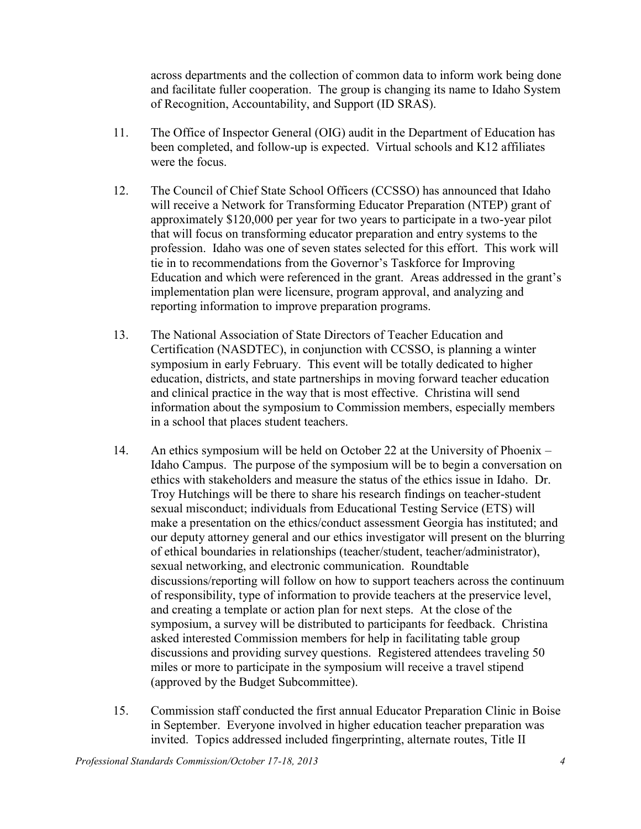across departments and the collection of common data to inform work being done and facilitate fuller cooperation. The group is changing its name to Idaho System of Recognition, Accountability, and Support (ID SRAS).

- 11. The Office of Inspector General (OIG) audit in the Department of Education has been completed, and follow-up is expected. Virtual schools and K12 affiliates were the focus.
- 12. The Council of Chief State School Officers (CCSSO) has announced that Idaho will receive a Network for Transforming Educator Preparation (NTEP) grant of approximately \$120,000 per year for two years to participate in a two-year pilot that will focus on transforming educator preparation and entry systems to the profession. Idaho was one of seven states selected for this effort. This work will tie in to recommendations from the Governor's Taskforce for Improving Education and which were referenced in the grant. Areas addressed in the grant's implementation plan were licensure, program approval, and analyzing and reporting information to improve preparation programs.
- 13. The National Association of State Directors of Teacher Education and Certification (NASDTEC), in conjunction with CCSSO, is planning a winter symposium in early February. This event will be totally dedicated to higher education, districts, and state partnerships in moving forward teacher education and clinical practice in the way that is most effective. Christina will send information about the symposium to Commission members, especially members in a school that places student teachers.
- 14. An ethics symposium will be held on October 22 at the University of Phoenix Idaho Campus. The purpose of the symposium will be to begin a conversation on ethics with stakeholders and measure the status of the ethics issue in Idaho. Dr. Troy Hutchings will be there to share his research findings on teacher-student sexual misconduct; individuals from Educational Testing Service (ETS) will make a presentation on the ethics/conduct assessment Georgia has instituted; and our deputy attorney general and our ethics investigator will present on the blurring of ethical boundaries in relationships (teacher/student, teacher/administrator), sexual networking, and electronic communication. Roundtable discussions/reporting will follow on how to support teachers across the continuum of responsibility, type of information to provide teachers at the preservice level, and creating a template or action plan for next steps. At the close of the symposium, a survey will be distributed to participants for feedback. Christina asked interested Commission members for help in facilitating table group discussions and providing survey questions. Registered attendees traveling 50 miles or more to participate in the symposium will receive a travel stipend (approved by the Budget Subcommittee).
- 15. Commission staff conducted the first annual Educator Preparation Clinic in Boise in September. Everyone involved in higher education teacher preparation was invited. Topics addressed included fingerprinting, alternate routes, Title II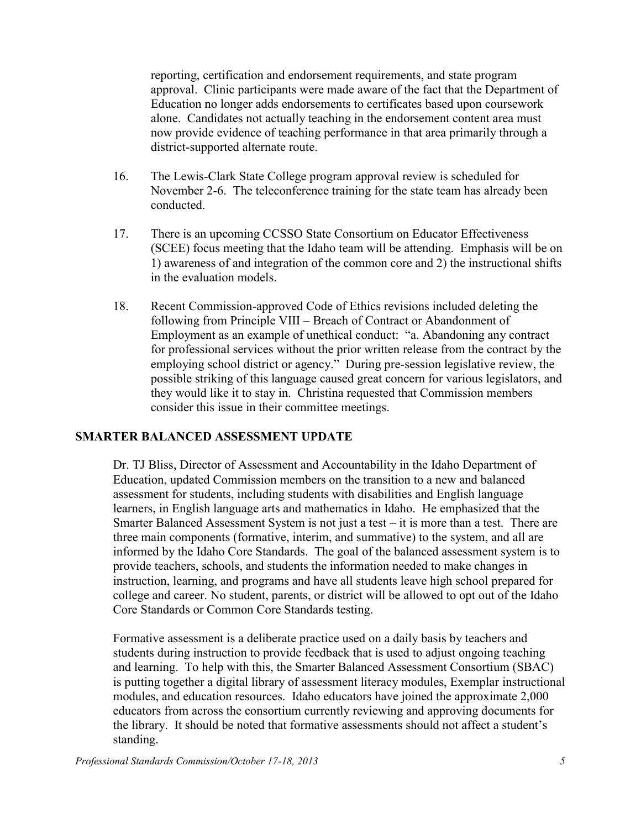reporting, certification and endorsement requirements, and state program approval. Clinic participants were made aware of the fact that the Department of Education no longer adds endorsements to certificates based upon coursework alone. Candidates not actually teaching in the endorsement content area must now provide evidence of teaching performance in that area primarily through a district-supported alternate route.

- 16. The Lewis-Clark State College program approval review is scheduled for November 2-6. The teleconference training for the state team has already been conducted.
- 17. There is an upcoming CCSSO State Consortium on Educator Effectiveness (SCEE) focus meeting that the Idaho team will be attending. Emphasis will be on 1) awareness of and integration of the common core and 2) the instructional shifts in the evaluation models.
- 18. Recent Commission-approved Code of Ethics revisions included deleting the following from Principle VIII – Breach of Contract or Abandonment of Employment as an example of unethical conduct: "a. Abandoning any contract for professional services without the prior written release from the contract by the employing school district or agency." During pre-session legislative review, the possible striking of this language caused great concern for various legislators, and they would like it to stay in. Christina requested that Commission members consider this issue in their committee meetings.

## **SMARTER BALANCED ASSESSMENT UPDATE**

Dr. TJ Bliss, Director of Assessment and Accountability in the Idaho Department of Education, updated Commission members on the transition to a new and balanced assessment for students, including students with disabilities and English language learners, in English language arts and mathematics in Idaho. He emphasized that the Smarter Balanced Assessment System is not just a test  $-$  it is more than a test. There are three main components (formative, interim, and summative) to the system, and all are informed by the Idaho Core Standards. The goal of the balanced assessment system is to provide teachers, schools, and students the information needed to make changes in instruction, learning, and programs and have all students leave high school prepared for college and career. No student, parents, or district will be allowed to opt out of the Idaho Core Standards or Common Core Standards testing.

Formative assessment is a deliberate practice used on a daily basis by teachers and students during instruction to provide feedback that is used to adjust ongoing teaching and learning. To help with this, the Smarter Balanced Assessment Consortium (SBAC) is putting together a digital library of assessment literacy modules, Exemplar instructional modules, and education resources. Idaho educators have joined the approximate 2,000 educators from across the consortium currently reviewing and approving documents for the library. It should be noted that formative assessments should not affect a student's standing.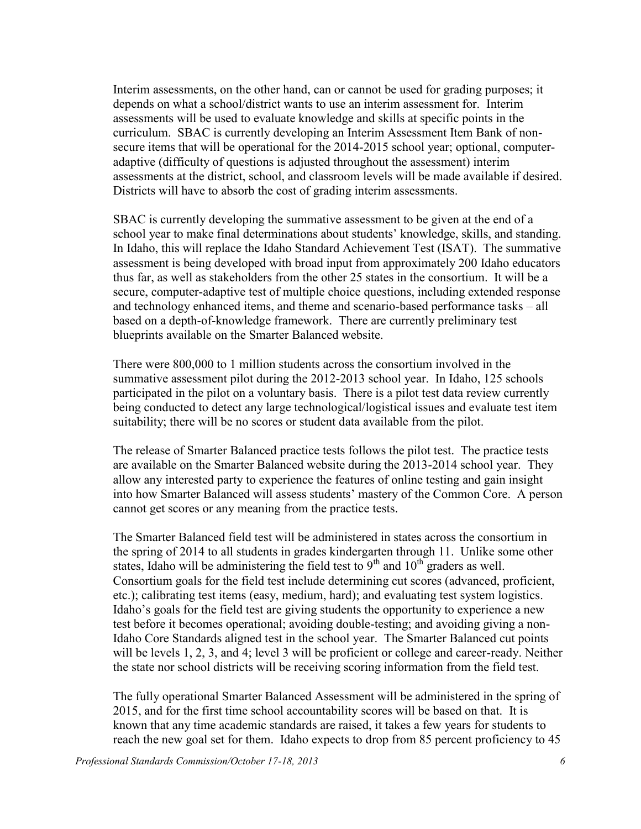Interim assessments, on the other hand, can or cannot be used for grading purposes; it depends on what a school/district wants to use an interim assessment for. Interim assessments will be used to evaluate knowledge and skills at specific points in the curriculum. SBAC is currently developing an Interim Assessment Item Bank of nonsecure items that will be operational for the 2014-2015 school year; optional, computeradaptive (difficulty of questions is adjusted throughout the assessment) interim assessments at the district, school, and classroom levels will be made available if desired. Districts will have to absorb the cost of grading interim assessments.

SBAC is currently developing the summative assessment to be given at the end of a school year to make final determinations about students' knowledge, skills, and standing. In Idaho, this will replace the Idaho Standard Achievement Test (ISAT). The summative assessment is being developed with broad input from approximately 200 Idaho educators thus far, as well as stakeholders from the other 25 states in the consortium. It will be a secure, computer-adaptive test of multiple choice questions, including extended response and technology enhanced items, and theme and scenario-based performance tasks – all based on a depth-of-knowledge framework. There are currently preliminary test blueprints available on the Smarter Balanced website.

There were 800,000 to 1 million students across the consortium involved in the summative assessment pilot during the 2012-2013 school year. In Idaho, 125 schools participated in the pilot on a voluntary basis. There is a pilot test data review currently being conducted to detect any large technological/logistical issues and evaluate test item suitability; there will be no scores or student data available from the pilot.

The release of Smarter Balanced practice tests follows the pilot test. The practice tests are available on the Smarter Balanced website during the 2013-2014 school year. They allow any interested party to experience the features of online testing and gain insight into how Smarter Balanced will assess students' mastery of the Common Core. A person cannot get scores or any meaning from the practice tests.

The Smarter Balanced field test will be administered in states across the consortium in the spring of 2014 to all students in grades kindergarten through 11. Unlike some other states, Idaho will be administering the field test to  $9<sup>th</sup>$  and  $10<sup>th</sup>$  graders as well. Consortium goals for the field test include determining cut scores (advanced, proficient, etc.); calibrating test items (easy, medium, hard); and evaluating test system logistics. Idaho's goals for the field test are giving students the opportunity to experience a new test before it becomes operational; avoiding double-testing; and avoiding giving a non-Idaho Core Standards aligned test in the school year. The Smarter Balanced cut points will be levels 1, 2, 3, and 4; level 3 will be proficient or college and career-ready. Neither the state nor school districts will be receiving scoring information from the field test.

The fully operational Smarter Balanced Assessment will be administered in the spring of 2015, and for the first time school accountability scores will be based on that. It is known that any time academic standards are raised, it takes a few years for students to reach the new goal set for them. Idaho expects to drop from 85 percent proficiency to 45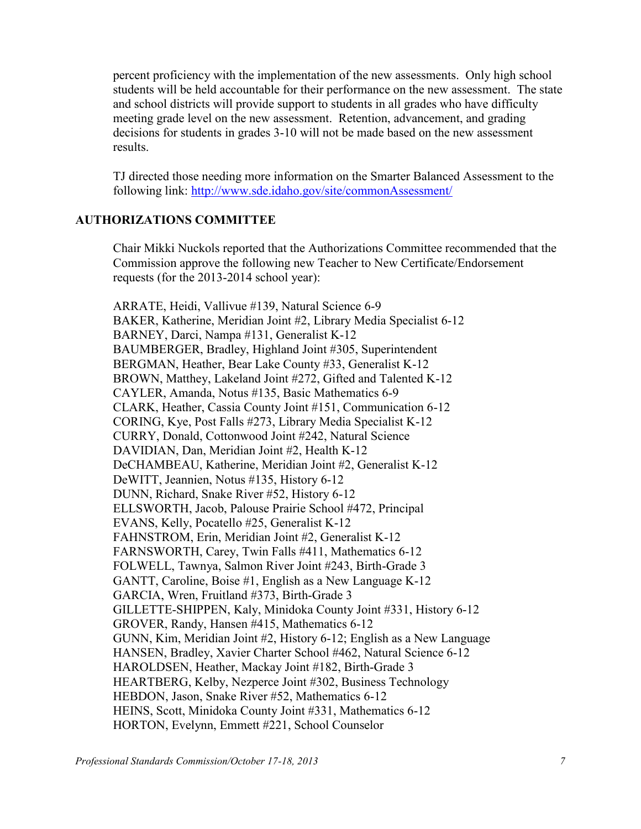percent proficiency with the implementation of the new assessments. Only high school students will be held accountable for their performance on the new assessment. The state and school districts will provide support to students in all grades who have difficulty meeting grade level on the new assessment. Retention, advancement, and grading decisions for students in grades 3-10 will not be made based on the new assessment results.

TJ directed those needing more information on the Smarter Balanced Assessment to the following link:<http://www.sde.idaho.gov/site/commonAssessment/>

#### **AUTHORIZATIONS COMMITTEE**

Chair Mikki Nuckols reported that the Authorizations Committee recommended that the Commission approve the following new Teacher to New Certificate/Endorsement requests (for the 2013-2014 school year):

ARRATE, Heidi, Vallivue #139, Natural Science 6-9 BAKER, Katherine, Meridian Joint #2, Library Media Specialist 6-12 BARNEY, Darci, Nampa #131, Generalist K-12 BAUMBERGER, Bradley, Highland Joint #305, Superintendent BERGMAN, Heather, Bear Lake County #33, Generalist K-12 BROWN, Matthey, Lakeland Joint #272, Gifted and Talented K-12 CAYLER, Amanda, Notus #135, Basic Mathematics 6-9 CLARK, Heather, Cassia County Joint #151, Communication 6-12 CORING, Kye, Post Falls #273, Library Media Specialist K-12 CURRY, Donald, Cottonwood Joint #242, Natural Science DAVIDIAN, Dan, Meridian Joint #2, Health K-12 DeCHAMBEAU, Katherine, Meridian Joint #2, Generalist K-12 DeWITT, Jeannien, Notus #135, History 6-12 DUNN, Richard, Snake River #52, History 6-12 ELLSWORTH, Jacob, Palouse Prairie School #472, Principal EVANS, Kelly, Pocatello #25, Generalist K-12 FAHNSTROM, Erin, Meridian Joint #2, Generalist K-12 FARNSWORTH, Carey, Twin Falls #411, Mathematics 6-12 FOLWELL, Tawnya, Salmon River Joint #243, Birth-Grade 3 GANTT, Caroline, Boise #1, English as a New Language K-12 GARCIA, Wren, Fruitland #373, Birth-Grade 3 GILLETTE-SHIPPEN, Kaly, Minidoka County Joint #331, History 6-12 GROVER, Randy, Hansen #415, Mathematics 6-12 GUNN, Kim, Meridian Joint #2, History 6-12; English as a New Language HANSEN, Bradley, Xavier Charter School #462, Natural Science 6-12 HAROLDSEN, Heather, Mackay Joint #182, Birth-Grade 3 HEARTBERG, Kelby, Nezperce Joint #302, Business Technology HEBDON, Jason, Snake River #52, Mathematics 6-12 HEINS, Scott, Minidoka County Joint #331, Mathematics 6-12 HORTON, Evelynn, Emmett #221, School Counselor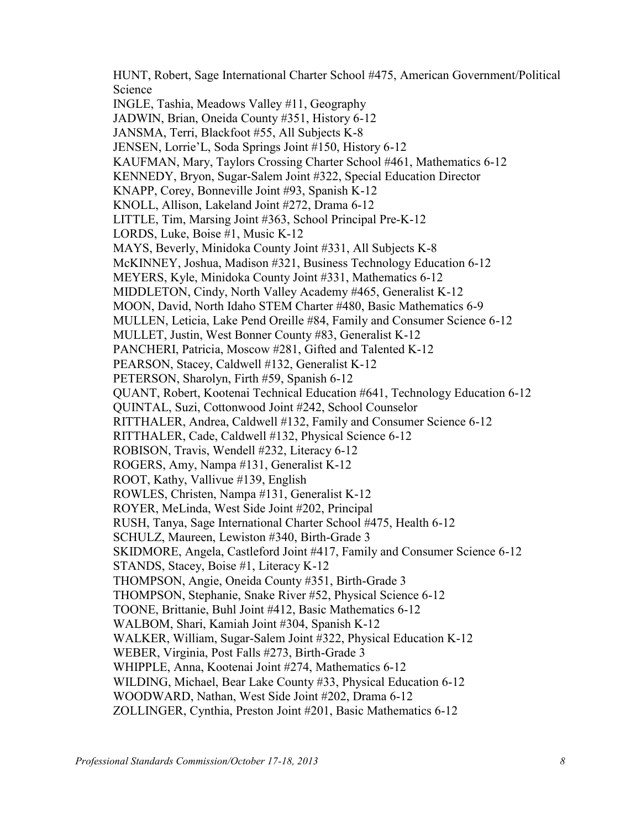HUNT, Robert, Sage International Charter School #475, American Government/Political Science INGLE, Tashia, Meadows Valley #11, Geography JADWIN, Brian, Oneida County #351, History 6-12 JANSMA, Terri, Blackfoot #55, All Subjects K-8 JENSEN, Lorrie'L, Soda Springs Joint #150, History 6-12 KAUFMAN, Mary, Taylors Crossing Charter School #461, Mathematics 6-12 KENNEDY, Bryon, Sugar-Salem Joint #322, Special Education Director KNAPP, Corey, Bonneville Joint #93, Spanish K-12 KNOLL, Allison, Lakeland Joint #272, Drama 6-12 LITTLE, Tim, Marsing Joint #363, School Principal Pre-K-12 LORDS, Luke, Boise #1, Music K-12 MAYS, Beverly, Minidoka County Joint #331, All Subjects K-8 McKINNEY, Joshua, Madison #321, Business Technology Education 6-12 MEYERS, Kyle, Minidoka County Joint #331, Mathematics 6-12 MIDDLETON, Cindy, North Valley Academy #465, Generalist K-12 MOON, David, North Idaho STEM Charter #480, Basic Mathematics 6-9 MULLEN, Leticia, Lake Pend Oreille #84, Family and Consumer Science 6-12 MULLET, Justin, West Bonner County #83, Generalist K-12 PANCHERI, Patricia, Moscow #281, Gifted and Talented K-12 PEARSON, Stacey, Caldwell #132, Generalist K-12 PETERSON, Sharolyn, Firth #59, Spanish 6-12 QUANT, Robert, Kootenai Technical Education #641, Technology Education 6-12 QUINTAL, Suzi, Cottonwood Joint #242, School Counselor RITTHALER, Andrea, Caldwell #132, Family and Consumer Science 6-12 RITTHALER, Cade, Caldwell #132, Physical Science 6-12 ROBISON, Travis, Wendell #232, Literacy 6-12 ROGERS, Amy, Nampa #131, Generalist K-12 ROOT, Kathy, Vallivue #139, English ROWLES, Christen, Nampa #131, Generalist K-12 ROYER, MeLinda, West Side Joint #202, Principal RUSH, Tanya, Sage International Charter School #475, Health 6-12 SCHULZ, Maureen, Lewiston #340, Birth-Grade 3 SKIDMORE, Angela, Castleford Joint #417, Family and Consumer Science 6-12 STANDS, Stacey, Boise #1, Literacy K-12 THOMPSON, Angie, Oneida County #351, Birth-Grade 3 THOMPSON, Stephanie, Snake River #52, Physical Science 6-12 TOONE, Brittanie, Buhl Joint #412, Basic Mathematics 6-12 WALBOM, Shari, Kamiah Joint #304, Spanish K-12 WALKER, William, Sugar-Salem Joint #322, Physical Education K-12 WEBER, Virginia, Post Falls #273, Birth-Grade 3 WHIPPLE, Anna, Kootenai Joint #274, Mathematics 6-12 WILDING, Michael, Bear Lake County #33, Physical Education 6-12 WOODWARD, Nathan, West Side Joint #202, Drama 6-12 ZOLLINGER, Cynthia, Preston Joint #201, Basic Mathematics 6-12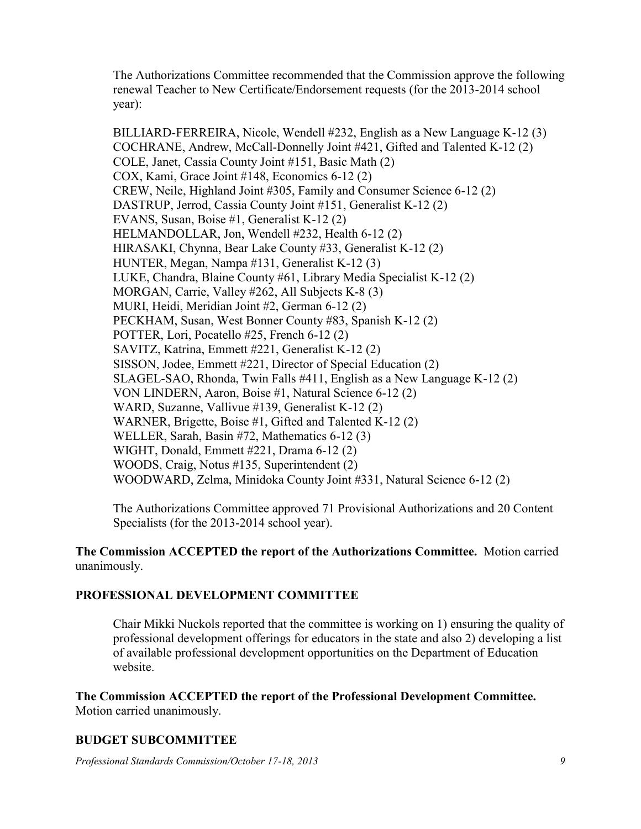The Authorizations Committee recommended that the Commission approve the following renewal Teacher to New Certificate/Endorsement requests (for the 2013-2014 school year):

BILLIARD-FERREIRA, Nicole, Wendell #232, English as a New Language K-12 (3) COCHRANE, Andrew, McCall-Donnelly Joint #421, Gifted and Talented K-12 (2) COLE, Janet, Cassia County Joint #151, Basic Math (2) COX, Kami, Grace Joint #148, Economics 6-12 (2) CREW, Neile, Highland Joint #305, Family and Consumer Science 6-12 (2) DASTRUP, Jerrod, Cassia County Joint #151, Generalist K-12 (2) EVANS, Susan, Boise #1, Generalist K-12 (2) HELMANDOLLAR, Jon, Wendell #232, Health 6-12 (2) HIRASAKI, Chynna, Bear Lake County #33, Generalist K-12 (2) HUNTER, Megan, Nampa #131, Generalist K-12 (3) LUKE, Chandra, Blaine County #61, Library Media Specialist K-12 (2) MORGAN, Carrie, Valley #262, All Subjects K-8 (3) MURI, Heidi, Meridian Joint #2, German 6-12 (2) PECKHAM, Susan, West Bonner County #83, Spanish K-12 (2) POTTER, Lori, Pocatello #25, French 6-12 (2) SAVITZ, Katrina, Emmett #221, Generalist K-12 (2) SISSON, Jodee, Emmett #221, Director of Special Education (2) SLAGEL-SAO, Rhonda, Twin Falls #411, English as a New Language K-12 (2) VON LINDERN, Aaron, Boise #1, Natural Science 6-12 (2) WARD, Suzanne, Vallivue #139, Generalist K-12 (2) WARNER, Brigette, Boise #1, Gifted and Talented K-12 (2) WELLER, Sarah, Basin #72, Mathematics 6-12 (3) WIGHT, Donald, Emmett #221, Drama 6-12 (2) WOODS, Craig, Notus #135, Superintendent (2) WOODWARD, Zelma, Minidoka County Joint #331, Natural Science 6-12 (2)

The Authorizations Committee approved 71 Provisional Authorizations and 20 Content Specialists (for the 2013-2014 school year).

#### **The Commission ACCEPTED the report of the Authorizations Committee.** Motion carried unanimously.

## **PROFESSIONAL DEVELOPMENT COMMITTEE**

Chair Mikki Nuckols reported that the committee is working on 1) ensuring the quality of professional development offerings for educators in the state and also 2) developing a list of available professional development opportunities on the Department of Education website.

**The Commission ACCEPTED the report of the Professional Development Committee.**  Motion carried unanimously.

# **BUDGET SUBCOMMITTEE**

*Professional Standards Commission/October 17-18, 2013 9*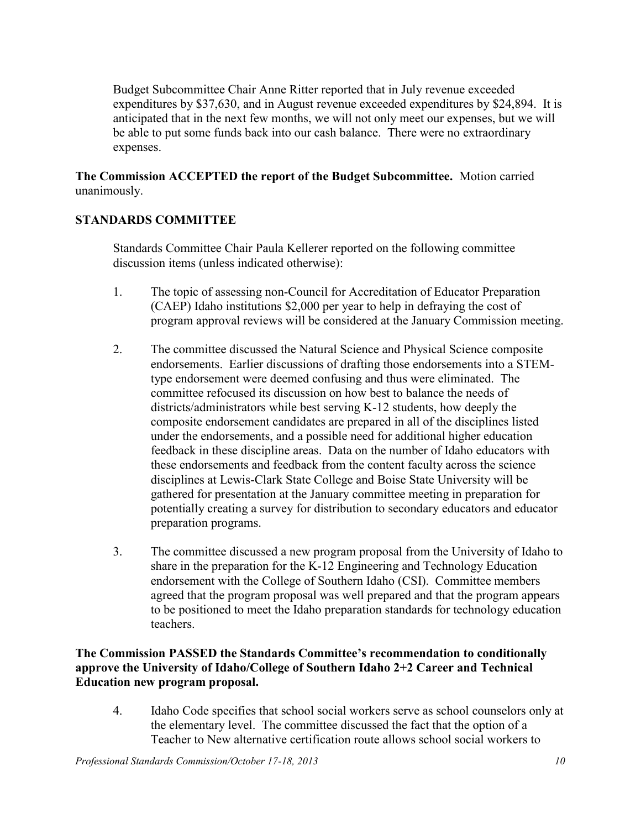Budget Subcommittee Chair Anne Ritter reported that in July revenue exceeded expenditures by \$37,630, and in August revenue exceeded expenditures by \$24,894. It is anticipated that in the next few months, we will not only meet our expenses, but we will be able to put some funds back into our cash balance. There were no extraordinary expenses.

**The Commission ACCEPTED the report of the Budget Subcommittee.** Motion carried unanimously.

# **STANDARDS COMMITTEE**

Standards Committee Chair Paula Kellerer reported on the following committee discussion items (unless indicated otherwise):

- 1. The topic of assessing non-Council for Accreditation of Educator Preparation (CAEP) Idaho institutions \$2,000 per year to help in defraying the cost of program approval reviews will be considered at the January Commission meeting.
- 2. The committee discussed the Natural Science and Physical Science composite endorsements. Earlier discussions of drafting those endorsements into a STEMtype endorsement were deemed confusing and thus were eliminated. The committee refocused its discussion on how best to balance the needs of districts/administrators while best serving K-12 students, how deeply the composite endorsement candidates are prepared in all of the disciplines listed under the endorsements, and a possible need for additional higher education feedback in these discipline areas. Data on the number of Idaho educators with these endorsements and feedback from the content faculty across the science disciplines at Lewis-Clark State College and Boise State University will be gathered for presentation at the January committee meeting in preparation for potentially creating a survey for distribution to secondary educators and educator preparation programs.
- 3. The committee discussed a new program proposal from the University of Idaho to share in the preparation for the K-12 Engineering and Technology Education endorsement with the College of Southern Idaho (CSI). Committee members agreed that the program proposal was well prepared and that the program appears to be positioned to meet the Idaho preparation standards for technology education teachers.

**The Commission PASSED the Standards Committee's recommendation to conditionally approve the University of Idaho/College of Southern Idaho 2+2 Career and Technical Education new program proposal.** 

4. Idaho Code specifies that school social workers serve as school counselors only at the elementary level. The committee discussed the fact that the option of a Teacher to New alternative certification route allows school social workers to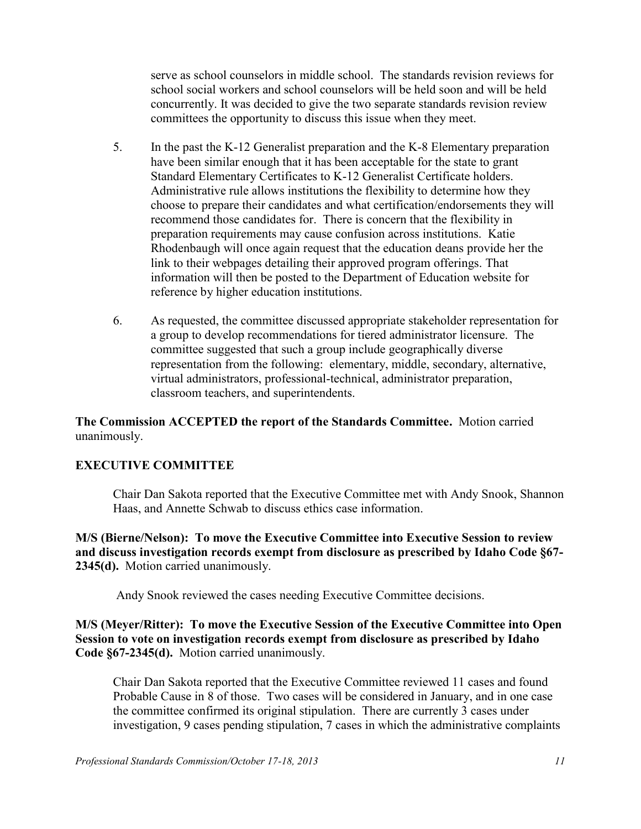serve as school counselors in middle school. The standards revision reviews for school social workers and school counselors will be held soon and will be held concurrently. It was decided to give the two separate standards revision review committees the opportunity to discuss this issue when they meet.

- 5. In the past the K-12 Generalist preparation and the K-8 Elementary preparation have been similar enough that it has been acceptable for the state to grant Standard Elementary Certificates to K-12 Generalist Certificate holders. Administrative rule allows institutions the flexibility to determine how they choose to prepare their candidates and what certification/endorsements they will recommend those candidates for. There is concern that the flexibility in preparation requirements may cause confusion across institutions. Katie Rhodenbaugh will once again request that the education deans provide her the link to their webpages detailing their approved program offerings. That information will then be posted to the Department of Education website for reference by higher education institutions.
- 6. As requested, the committee discussed appropriate stakeholder representation for a group to develop recommendations for tiered administrator licensure. The committee suggested that such a group include geographically diverse representation from the following: elementary, middle, secondary, alternative, virtual administrators, professional-technical, administrator preparation, classroom teachers, and superintendents.

**The Commission ACCEPTED the report of the Standards Committee.** Motion carried unanimously.

## **EXECUTIVE COMMITTEE**

Chair Dan Sakota reported that the Executive Committee met with Andy Snook, Shannon Haas, and Annette Schwab to discuss ethics case information.

**M/S (Bierne/Nelson): To move the Executive Committee into Executive Session to review and discuss investigation records exempt from disclosure as prescribed by Idaho Code §67- 2345(d).** Motion carried unanimously.

Andy Snook reviewed the cases needing Executive Committee decisions.

**M/S (Meyer/Ritter): To move the Executive Session of the Executive Committee into Open Session to vote on investigation records exempt from disclosure as prescribed by Idaho Code §67-2345(d).** Motion carried unanimously.

Chair Dan Sakota reported that the Executive Committee reviewed 11 cases and found Probable Cause in 8 of those. Two cases will be considered in January, and in one case the committee confirmed its original stipulation. There are currently 3 cases under investigation, 9 cases pending stipulation, 7 cases in which the administrative complaints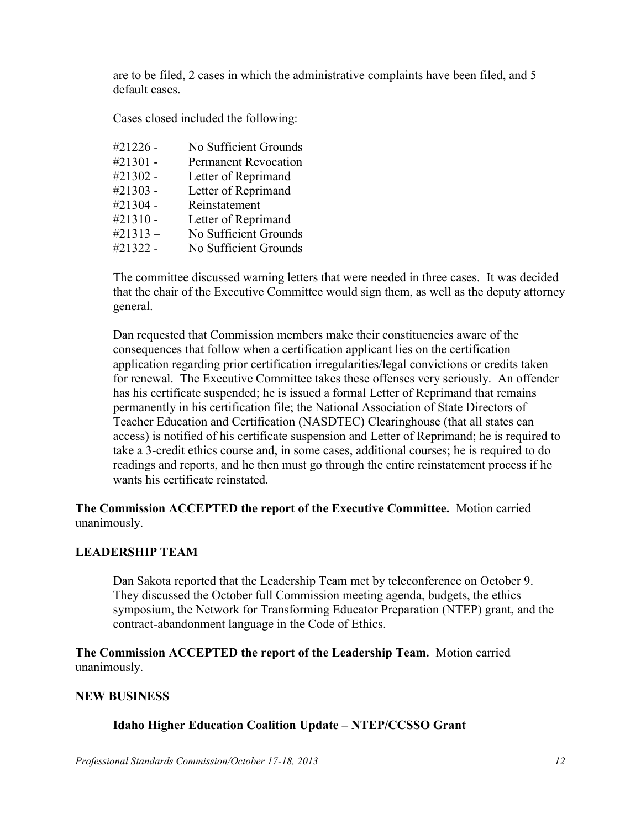are to be filed, 2 cases in which the administrative complaints have been filed, and 5 default cases.

Cases closed included the following:

| #21226 -   | No Sufficient Grounds       |
|------------|-----------------------------|
| #21301 -   | <b>Permanent Revocation</b> |
| #21302 -   | Letter of Reprimand         |
| #21303 -   | Letter of Reprimand         |
| #21304 -   | Reinstatement               |
| #21310 -   | Letter of Reprimand         |
| $\#21313-$ | No Sufficient Grounds       |
| #21322 -   | No Sufficient Grounds       |

The committee discussed warning letters that were needed in three cases. It was decided that the chair of the Executive Committee would sign them, as well as the deputy attorney general.

Dan requested that Commission members make their constituencies aware of the consequences that follow when a certification applicant lies on the certification application regarding prior certification irregularities/legal convictions or credits taken for renewal. The Executive Committee takes these offenses very seriously. An offender has his certificate suspended; he is issued a formal Letter of Reprimand that remains permanently in his certification file; the National Association of State Directors of Teacher Education and Certification (NASDTEC) Clearinghouse (that all states can access) is notified of his certificate suspension and Letter of Reprimand; he is required to take a 3-credit ethics course and, in some cases, additional courses; he is required to do readings and reports, and he then must go through the entire reinstatement process if he wants his certificate reinstated.

**The Commission ACCEPTED the report of the Executive Committee.** Motion carried unanimously.

#### **LEADERSHIP TEAM**

Dan Sakota reported that the Leadership Team met by teleconference on October 9. They discussed the October full Commission meeting agenda, budgets, the ethics symposium, the Network for Transforming Educator Preparation (NTEP) grant, and the contract-abandonment language in the Code of Ethics.

**The Commission ACCEPTED the report of the Leadership Team.** Motion carried unanimously.

#### **NEW BUSINESS**

## **Idaho Higher Education Coalition Update – NTEP/CCSSO Grant**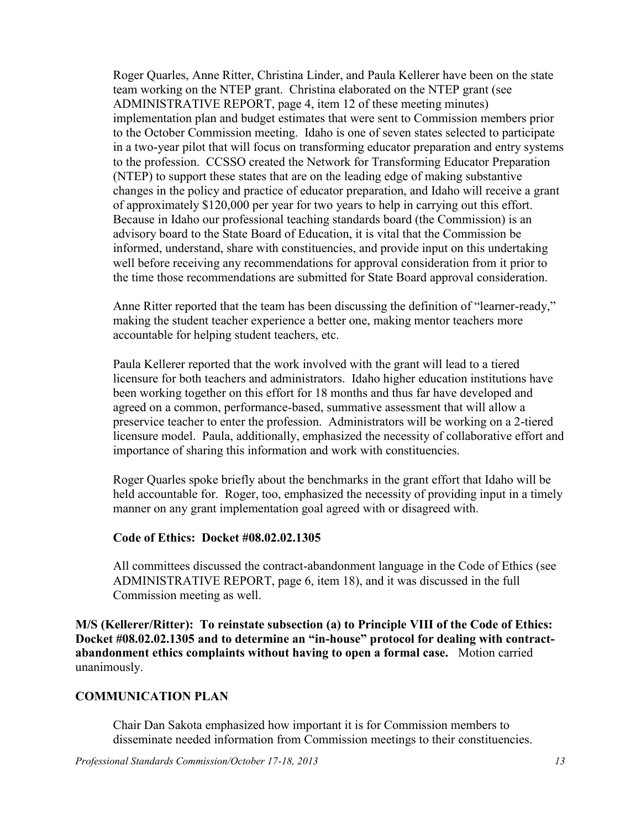Roger Quarles, Anne Ritter, Christina Linder, and Paula Kellerer have been on the state team working on the NTEP grant. Christina elaborated on the NTEP grant (see ADMINISTRATIVE REPORT, page 4, item 12 of these meeting minutes) implementation plan and budget estimates that were sent to Commission members prior to the October Commission meeting. Idaho is one of seven states selected to participate in a two-year pilot that will focus on transforming educator preparation and entry systems to the profession. CCSSO created the Network for Transforming Educator Preparation (NTEP) to support these states that are on the leading edge of making substantive changes in the policy and practice of educator preparation, and Idaho will receive a grant of approximately \$120,000 per year for two years to help in carrying out this effort. Because in Idaho our professional teaching standards board (the Commission) is an advisory board to the State Board of Education, it is vital that the Commission be informed, understand, share with constituencies, and provide input on this undertaking well before receiving any recommendations for approval consideration from it prior to the time those recommendations are submitted for State Board approval consideration.

Anne Ritter reported that the team has been discussing the definition of "learner-ready," making the student teacher experience a better one, making mentor teachers more accountable for helping student teachers, etc.

Paula Kellerer reported that the work involved with the grant will lead to a tiered licensure for both teachers and administrators. Idaho higher education institutions have been working together on this effort for 18 months and thus far have developed and agreed on a common, performance-based, summative assessment that will allow a preservice teacher to enter the profession. Administrators will be working on a 2-tiered licensure model. Paula, additionally, emphasized the necessity of collaborative effort and importance of sharing this information and work with constituencies.

Roger Quarles spoke briefly about the benchmarks in the grant effort that Idaho will be held accountable for. Roger, too, emphasized the necessity of providing input in a timely manner on any grant implementation goal agreed with or disagreed with.

#### **Code of Ethics: Docket #08.02.02.1305**

All committees discussed the contract-abandonment language in the Code of Ethics (see ADMINISTRATIVE REPORT, page 6, item 18), and it was discussed in the full Commission meeting as well.

**M/S (Kellerer/Ritter): To reinstate subsection (a) to Principle VIII of the Code of Ethics: Docket #08.02.02.1305 and to determine an "in-house" protocol for dealing with contractabandonment ethics complaints without having to open a formal case.** Motion carried unanimously.

## **COMMUNICATION PLAN**

Chair Dan Sakota emphasized how important it is for Commission members to disseminate needed information from Commission meetings to their constituencies.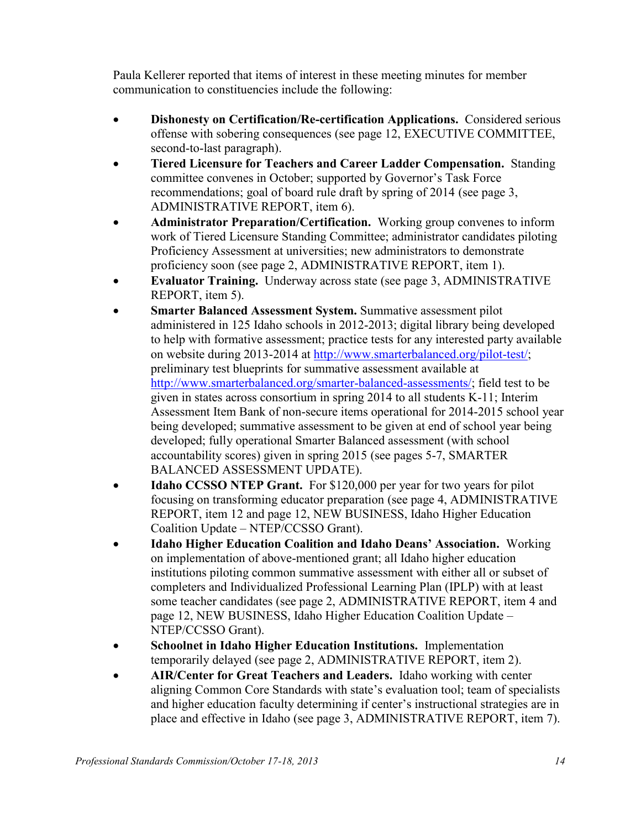Paula Kellerer reported that items of interest in these meeting minutes for member communication to constituencies include the following:

- **Dishonesty on Certification/Re-certification Applications.** Considered serious offense with sobering consequences (see page 12, EXECUTIVE COMMITTEE, second-to-last paragraph).
- **Tiered Licensure for Teachers and Career Ladder Compensation.** Standing committee convenes in October; supported by Governor's Task Force recommendations; goal of board rule draft by spring of 2014 (see page 3, ADMINISTRATIVE REPORT, item 6).
- **Administrator Preparation/Certification.** Working group convenes to inform work of Tiered Licensure Standing Committee; administrator candidates piloting Proficiency Assessment at universities; new administrators to demonstrate proficiency soon (see page 2, ADMINISTRATIVE REPORT, item 1).
- **Evaluator Training.** Underway across state (see page 3, ADMINISTRATIVE REPORT, item 5).
- **Smarter Balanced Assessment System.** Summative assessment pilot administered in 125 Idaho schools in 2012-2013; digital library being developed to help with formative assessment; practice tests for any interested party available on website during 2013-2014 at [http://www.smarterbalanced.org/pilot-test/;](http://www.smarterbalanced.org/pilot-test/) preliminary test blueprints for summative assessment available at [http://www.smarterbalanced.org/smarter-balanced-assessments/;](http://www.smarterbalanced.org/smarter-balanced-assessments/) field test to be given in states across consortium in spring 2014 to all students K-11; Interim Assessment Item Bank of non-secure items operational for 2014-2015 school year being developed; summative assessment to be given at end of school year being developed; fully operational Smarter Balanced assessment (with school accountability scores) given in spring 2015 (see pages 5-7, SMARTER BALANCED ASSESSMENT UPDATE).
- **Idaho CCSSO NTEP Grant.** For \$120,000 per year for two years for pilot focusing on transforming educator preparation (see page 4, ADMINISTRATIVE REPORT, item 12 and page 12, NEW BUSINESS, Idaho Higher Education Coalition Update – NTEP/CCSSO Grant).
- **Idaho Higher Education Coalition and Idaho Deans' Association.** Working on implementation of above-mentioned grant; all Idaho higher education institutions piloting common summative assessment with either all or subset of completers and Individualized Professional Learning Plan (IPLP) with at least some teacher candidates (see page 2, ADMINISTRATIVE REPORT, item 4 and page 12, NEW BUSINESS, Idaho Higher Education Coalition Update – NTEP/CCSSO Grant).
- **Schoolnet in Idaho Higher Education Institutions.** Implementation temporarily delayed (see page 2, ADMINISTRATIVE REPORT, item 2).
- **AIR/Center for Great Teachers and Leaders.** Idaho working with center aligning Common Core Standards with state's evaluation tool; team of specialists and higher education faculty determining if center's instructional strategies are in place and effective in Idaho (see page 3, ADMINISTRATIVE REPORT, item 7).